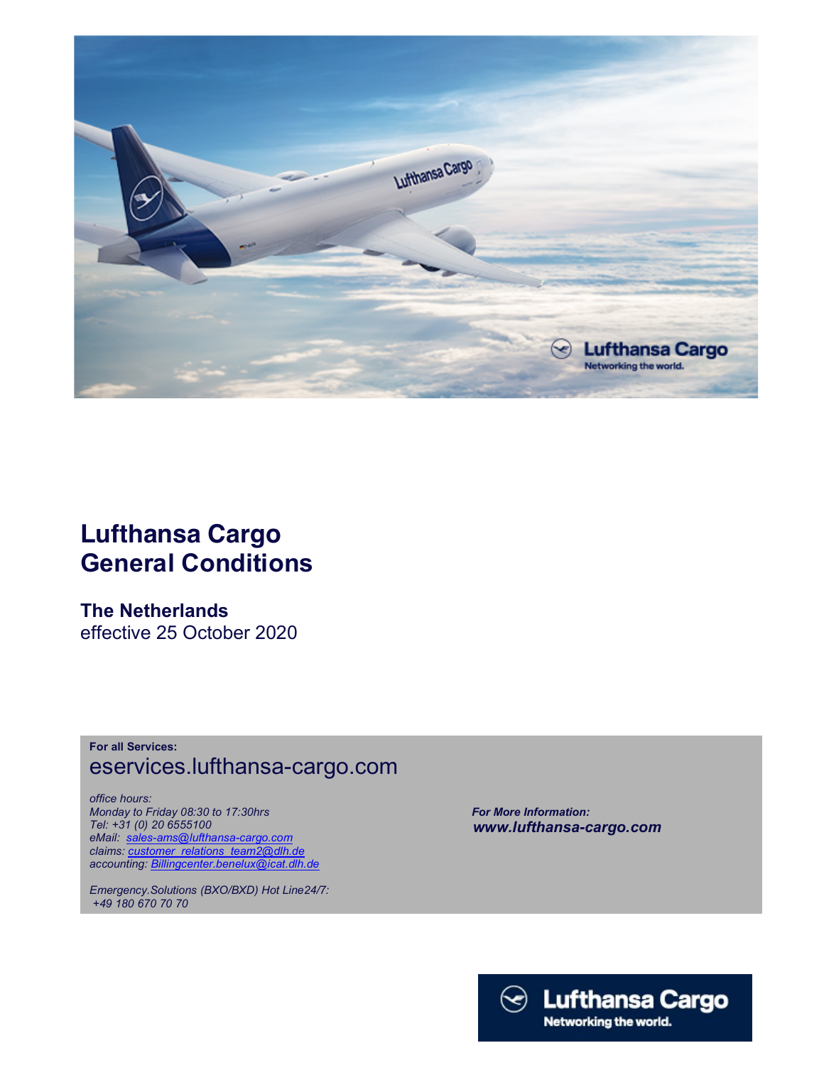

## Lufthansa Cargo General Conditions

The Netherlands effective 25 October 2020

## For all Services: eservices.lufthansa-cargo.com

office hours: Monday to Friday 08:30 to 17:30hrs Tel: +31 (0) 20 6555100 eMail: sales-ams@lufthansa-cargo.com claims: customer\_relations\_team2@dlh.de accounting: *Billingcenter.benelux@icat.dlh.de* 

Emergency.Solutions (BXO/BXD) Hot Line24/7: +49 180 670 70 70

 For More Information: www.lufthansa-cargo.com

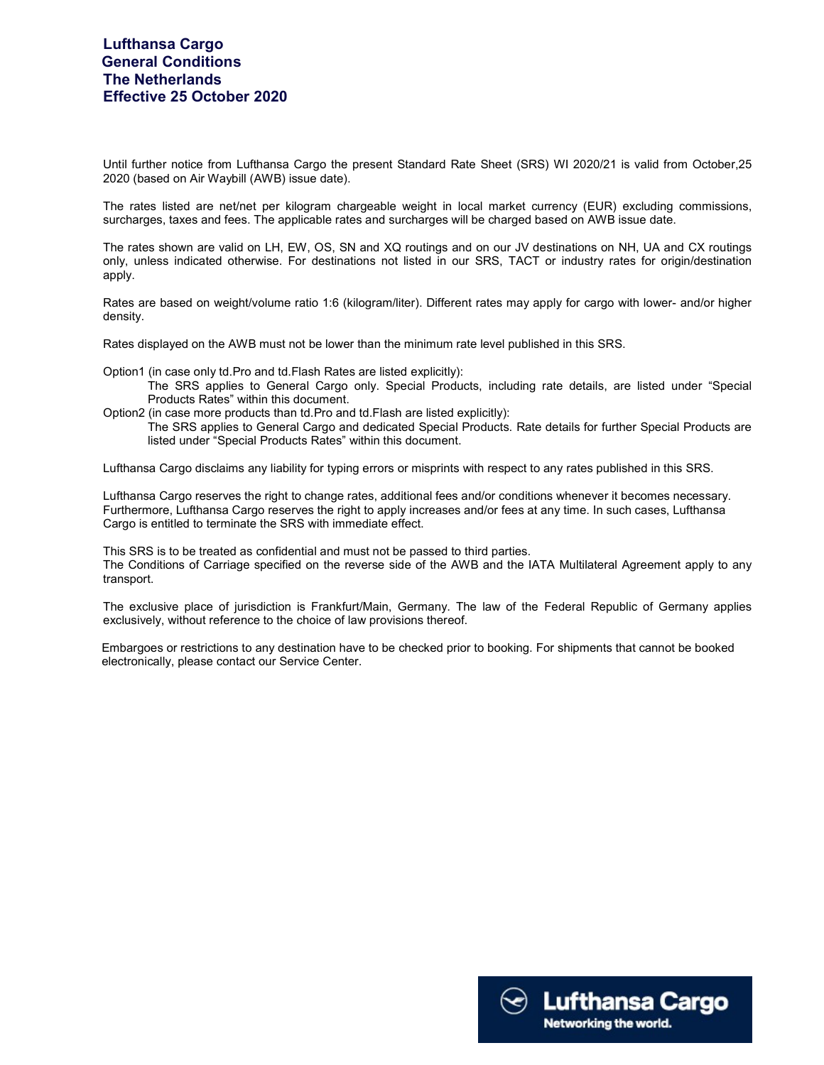Until further notice from Lufthansa Cargo the present Standard Rate Sheet (SRS) WI 2020/21 is valid from October,25 2020 (based on Air Waybill (AWB) issue date).

The rates listed are net/net per kilogram chargeable weight in local market currency (EUR) excluding commissions, surcharges, taxes and fees. The applicable rates and surcharges will be charged based on AWB issue date.

The rates shown are valid on LH, EW, OS, SN and XQ routings and on our JV destinations on NH, UA and CX routings only, unless indicated otherwise. For destinations not listed in our SRS, TACT or industry rates for origin/destination apply.

Rates are based on weight/volume ratio 1:6 (kilogram/liter). Different rates may apply for cargo with lower- and/or higher density.

Rates displayed on the AWB must not be lower than the minimum rate level published in this SRS.

Option1 (in case only td.Pro and td.Flash Rates are listed explicitly):

The SRS applies to General Cargo only. Special Products, including rate details, are listed under "Special Products Rates" within this document.

Option2 (in case more products than td.Pro and td.Flash are listed explicitly):

The SRS applies to General Cargo and dedicated Special Products. Rate details for further Special Products are listed under "Special Products Rates" within this document.

Lufthansa Cargo disclaims any liability for typing errors or misprints with respect to any rates published in this SRS.

Lufthansa Cargo reserves the right to change rates, additional fees and/or conditions whenever it becomes necessary. Furthermore, Lufthansa Cargo reserves the right to apply increases and/or fees at any time. In such cases, Lufthansa Cargo is entitled to terminate the SRS with immediate effect.

This SRS is to be treated as confidential and must not be passed to third parties. The Conditions of Carriage specified on the reverse side of the AWB and the IATA Multilateral Agreement apply to any transport.

The exclusive place of jurisdiction is Frankfurt/Main, Germany. The law of the Federal Republic of Germany applies exclusively, without reference to the choice of law provisions thereof.

 Embargoes or restrictions to any destination have to be checked prior to booking. For shipments that cannot be booked electronically, please contact our Service Center.

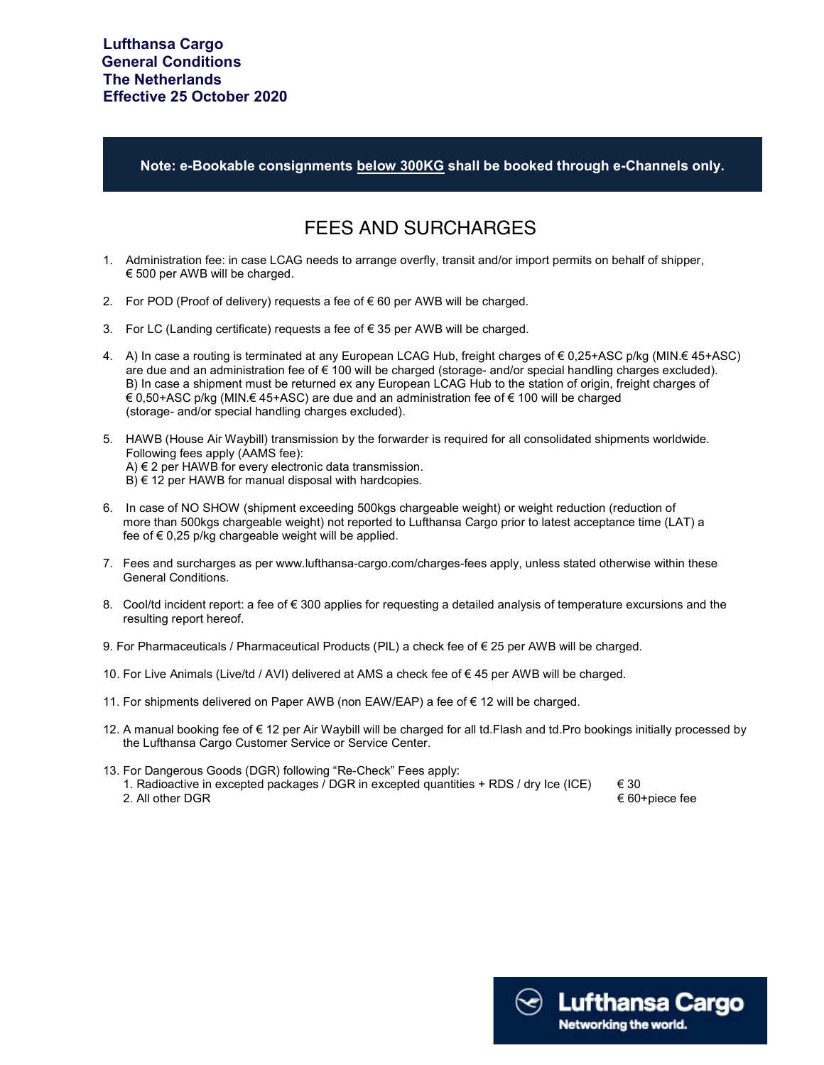Note: e-Bookable consignments below 300KG shall be booked through e-Channels only.

## FEES AND SURCHARGES

- 1. Administration fee: in case LCAG needs to arrange overfly, transit and/or import permits on behalf of shipper, € 500 per AWB will be charged.
- 2. For POD (Proof of delivery) requests a fee of €60 per AWB will be charged.
- 3. For LC (Landing certificate) requests a fee of € 35 per AWB will be charged.
- 4. A) In case a routing is terminated at any European LCAG Hub, freight charges of € 0,25+ASC p/kg (MIN.€ 45+ASC) are due and an administration fee of € 100 will be charged (storage- and/or special handling charges excluded). B) In case a shipment must be returned ex any European LCAG Hub to the station of origin, freight charges of € 0,50+ASC p/kg (MIN.€ 45+ASC) are due and an administration fee of € 100 will be charged (storage- and/or special handling charges excluded).
- 5. HAWB (House Air Waybill) transmission by the forwarder is required for all consolidated shipments worldwide. Following fees apply (AAMS fee): A) € 2 per HAWB for every electronic data transmission.  $B$ )  $\in$  12 per HAWB for manual disposal with hardcopies.
- 6. In case of NO SHOW (shipment exceeding 500kgs chargeable weight) or weight reduction (reduction of more than 500kgs chargeable weight) not reported to Lufthansa Cargo prior to latest acceptance time (LAT) a fee of € 0,25 p/kg chargeable weight will be applied.
- 7. Fees and surcharges as per www.lufthansa-cargo.com/charges-fees apply, unless stated otherwise within these General Conditions.
- 8. Cool/td incident report: a fee of  $\epsilon$  300 applies for requesting a detailed analysis of temperature excursions and the resulting report hereof.
- 9. For Pharmaceuticals / Pharmaceutical Products (PIL) a check fee of € 25 per AWB will be charged.
- 10. For Live Animals (Live/td / AVI) delivered at AMS a check fee of € 45 per AWB will be charged.
- 11. For shipments delivered on Paper AWB (non EAW/EAP) a fee of € 12 will be charged.
- 12. A manual booking fee of € 12 per Air Waybill will be charged for all td.Flash and td.Pro bookings initially processed by the Lufthansa Cargo Customer Service or Service Center.
- 13. For Dangerous Goods (DGR) following "Re-Check" Fees apply: 1. Radioactive in excepted packages / DGR in excepted quantities + RDS / dry Ice (ICE)  $\epsilon$  30 2. All other DGR  $€ 60 + piece$  fee